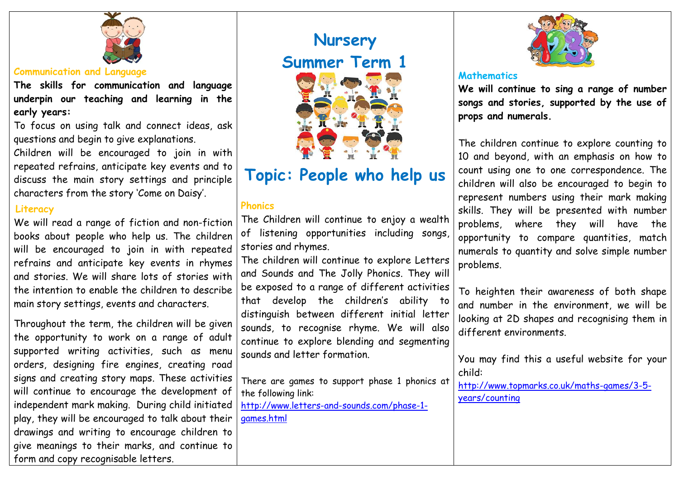

#### **Communication and Language**

**The skills for communication and language underpin our teaching and learning in the early years:**

To focus on using talk and connect ideas, ask questions and begin to give explanations.

Children will be encouraged to join in with repeated refrains, anticipate key events and to discuss the main story settings and principle characters from the story 'Come on Daisy'.

#### **Literacy**

We will read a range of fiction and non-fiction books about people who help us. The children will be encouraged to join in with repeated refrains and anticipate key events in rhymes and stories. We will share lots of stories with the intention to enable the children to describe main story settings, events and characters.

Throughout the term, the children will be given the opportunity to work on a range of adult supported writing activities, such as menu orders, designing fire engines, creating road signs and creating story maps. These activities will continue to encourage the development of independent mark making. During child initiated play, they will be encouraged to talk about their drawings and writing to encourage children to give meanings to their marks, and continue to form and copy recognisable letters.

# **Nursery Summer Term 1**

**Topic: People who help us**

# **Phonics**

The Children will continue to enjoy a wealth of listening opportunities including songs, stories and rhymes.

The children will continue to explore Letters and Sounds and The Jolly Phonics. They will be exposed to a range of different activities that develop the children's ability to distinguish between different initial letter sounds, to recognise rhyme. We will also continue to explore blending and segmenting sounds and letter formation.

There are games to support phase 1 phonics at the following link:

[http://www.letters-and-sounds.com/phase-1](http://www.letters-and-sounds.com/phase-1-games.html) [games.html](http://www.letters-and-sounds.com/phase-1-games.html)



#### **Mathematics**

**We will continue to sing a range of number songs and stories, supported by the use of props and numerals.** 

The children continue to explore counting to 10 and beyond, with an emphasis on how to count using one to one correspondence. The children will also be encouraged to begin to represent numbers using their mark making skills. They will be presented with number problems, where they will have the opportunity to compare quantities, match numerals to quantity and solve simple number problems.

To heighten their awareness of both shape and number in the environment, we will be looking at 2D shapes and recognising them in different environments.

You may find this a useful website for your child:

[http://www.topmarks.co.uk/maths-games/3-5](http://www.topmarks.co.uk/maths-games/3-5-years/counting) [years/counting](http://www.topmarks.co.uk/maths-games/3-5-years/counting)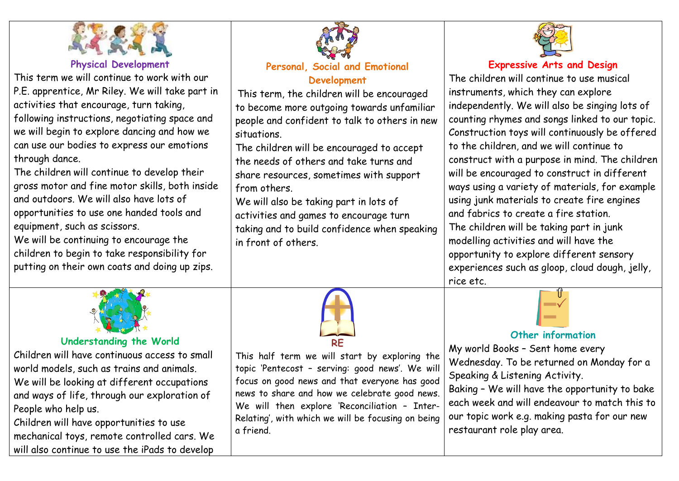

#### **Physical Development**

This term we will continue to work with our P.E. apprentice, Mr Riley. We will take part in activities that encourage, turn taking,

following instructions, negotiating space and we will begin to explore dancing and how we can use our bodies to express our emotions through dance.

The children will continue to develop their gross motor and fine motor skills, both inside and outdoors. We will also have lots of opportunities to use one handed tools and equipment, such as scissors.

We will be continuing to encourage the children to begin to take responsibility for putting on their own coats and doing up zips.



# **Personal, Social and Emotional Development**

This term, the children will be encouraged to become more outgoing towards unfamiliar people and confident to talk to others in new situations.

The children will be encouraged to accept the needs of others and take turns and share resources, sometimes with support from others.

We will also be taking part in lots of activities and games to encourage turn taking and to build confidence when speaking in front of others.



### **Expressive Arts and Design**

The children will continue to use musical instruments, which they can explore independently. We will also be singing lots of counting rhymes and songs linked to our topic. Construction toys will continuously be offered to the children, and we will continue to construct with a purpose in mind. The children will be encouraged to construct in different ways using a variety of materials, for example using junk materials to create fire engines and fabrics to create a fire station. The children will be taking part in junk modelling activities and will have the opportunity to explore different sensory experiences such as gloop, cloud dough, jelly, rice etc.



## **Understanding the World**

Children will have continuous access to small world models, such as trains and animals. We will be looking at different occupations and ways of life, through our exploration of People who help us.

Children will have opportunities to use mechanical toys, remote controlled cars. We will also continue to use the iPads to develop



This half term we will start by exploring the topic 'Pentecost – serving: good news'. We will focus on good news and that everyone has good news to share and how we celebrate good news. We will then explore 'Reconciliation – Inter-Relating', with which we will be focusing on being a friend.

# **Other information**

My world Books – Sent home every Wednesday. To be returned on Monday for a Speaking & Listening Activity.

Baking – We will have the opportunity to bake each week and will endeavour to match this to our topic work e.g. making pasta for our new restaurant role play area.